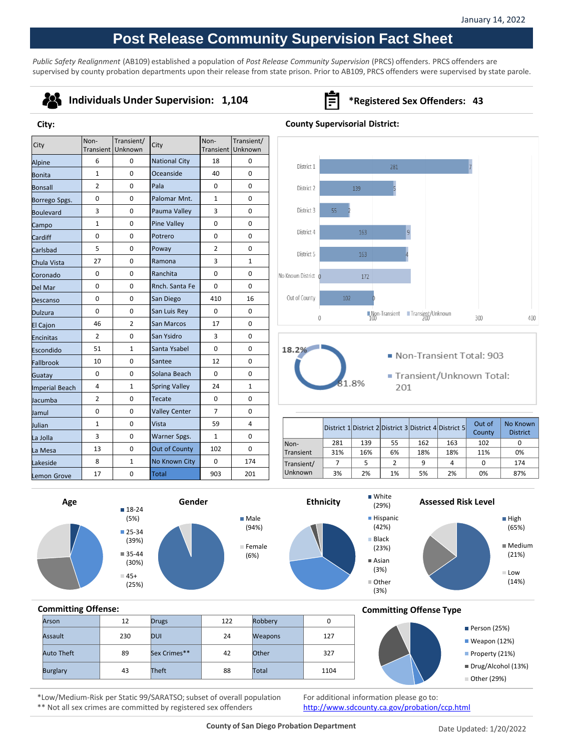# **Post Release Community Supervision Fact Sheet**

*Public Safety Realignment* (AB109) established a population of *Post Release Community Supervision* (PRCS) offenders. PRCS offenders are supervised by county probation departments upon their release from state prison. Prior to AB109, PRCS offenders were supervised by state parole.

## -23

**City:**

### **Individuals Under Supervision: 1,104 Fig. 343 \*Registered Sex Offenders: 43**

#### $City$  Non-Transient/ Transient/ City Non-<br>Unknown City Trans Transient/ **Transien Transien** Unknown  $\begin{array}{|c|c|c|c|c|c|}\n\hline\n\text{Alpine} & \begin{array}{|c|c|c|c|c|c|}\n\hline\n6 & 6 & 0 & \text{National City} & 18 & 0\n\end{array}\n\end{array}$ District 1 281 Bonita | 1 | 0 |Oceanside | 40 | 0 Bonsall | 2 | 0 | Pala | 0 | 0 District 2 139 Borrego Spgs. 0 0 0 Palomar Mnt. 1 0 Boulevard 3 0 Pauma Valley 3 0 District 3  $\mathsf{p}_\mathsf{1}$  ampo 1 1 0 Pine Valley 0 0 0 District 4 163  $\small{\textsf{Cardiff}}\qquad \begin{array}{c|ccc} \textsf{0} & \multicolumn{3}{c|}{\textsf{0}} & \multicolumn{3}{c}{\textsf{Port}}\end{array} \begin{array}{c|ccc} \textsf{0} & \multicolumn{3}{c|}{\textsf{Port}}\end{array} \begin{array}{c|ccc} \textsf{0} & \multicolumn{3}{c|}{\textsf{0}} & \multicolumn{3}{c}{\textsf{0}} & \multicolumn{3}{c}{\textsf{0}}\end{array}$ Carlsbad 5 0 Poway 2 0 District 5 163 Chula Vista  $\begin{vmatrix} 27 & 0 & 0 \\ 0 & 0 & 0 \end{vmatrix}$  Ramona  $\begin{vmatrix} 3 & 1 \\ 3 & 1 \end{vmatrix}$ Coronado | 0 | 0 | Ranchita | 0 | 0 No Known District 172  $\overline{\text{Del Mar}}$  0 0  $\overline{\text{Rnch. Santa Fe}}$  0 0 Descanso | 0 | 0 | San Diego | 410 | 16 Out of County 102 Dulzura  $\begin{array}{|c|c|c|c|c|c|} \hline \end{array}$  O  $\begin{array}{|c|c|c|c|c|c|c|c|} \hline \end{array}$  San Luis Rey  $\begin{array}{|c|c|c|c|c|c|} \hline \end{array}$  O  $\begin{array}{|c|c|c|c|c|c|} \hline \end{array}$  O **Non-Transient** Transient/Unknown  $\Omega$ El Cajon (17 | 46 | 2 | San Marcos | 17 | 0 Encinitas | 2 | 0 | San Ysidro | 3 | 0 Escondido  $\begin{vmatrix} 51 & 1 & \end{vmatrix}$  Santa Ysabel  $\begin{vmatrix} 0 & 0 \end{vmatrix}$  0 18.2% Non-Transient Total: 903 Fallbrook 10 0 Santee 12 0 Guatay ( 0 0 <mark>Solana Beach | 0 0</mark> 0 Transient/Unknown Total: .8% Imperial Beach  $\begin{vmatrix} 4 & 1 & 1 \end{vmatrix}$  Spring Valley  $\begin{vmatrix} 24 & 1 \end{vmatrix}$  1 201 Jacumba | 2 | 0 | Tecate | 0 | 0 Jamul 0 0 Valley Center 7 0  $\vert$  District 1 District 2 District 3 District 4 District 5  $\vert$  Out of Julian 1 0 Vista 59 4 a Jolla  $\begin{array}{|c|c|c|c|c|} \hline \multicolumn{1}{|c|}{3} & \multicolumn{1}{|c|}{0} & \multicolumn{1}{|c|}{\text{Warner Spgs.}} & \multicolumn{1}{|c|}{1} & \multicolumn{1}{|c|}{0} \\\hline \end{array}$ Non-281 139 55 162 163 102 0 a Mesa  $\begin{vmatrix} 13 & 0 & 0 \end{vmatrix}$  Out of County  $\begin{vmatrix} 102 & 0 \end{vmatrix}$  0 Transient 31% 16% 6% 18% 18% 11% 0% akeside 8 3 1 No Known City 0 174 Transient/ 7 | 5 | 2 | 9 | 4 | 0 | 174 emon Grove 17 0 <mark>Total 903 201</mark> Unknown 3% 2% 1% 5% 2% 0% 87%











**County** 

 $300$ 

No Known District

400

# **Committing Offense:**

| Arson             | 12  | <b>Drugs</b> | 122 | Robbery        | 0    |
|-------------------|-----|--------------|-----|----------------|------|
| Assault           | 230 | DUI          | 24  | <b>Weapons</b> | 127  |
| <b>Auto Theft</b> | 89  | Sex Crimes** | 42  | Other          | 327  |
| <b>Burglary</b>   | 43  | Theft        | 88  | Total          | 1104 |

### **Committing Offense Type**



\*Low/Medium-Risk per Static 99/SARATSO; subset of overall population \*\* Not all sex crimes are committed by registered sex offenders

For additional information please go to: <http://www.sdcounty.ca.gov/probation/ccp.html>

(29%) **Hispanic** (42%) **Black** (23%) Asian (3%) Other (3%)



**County Supervisorial District:**